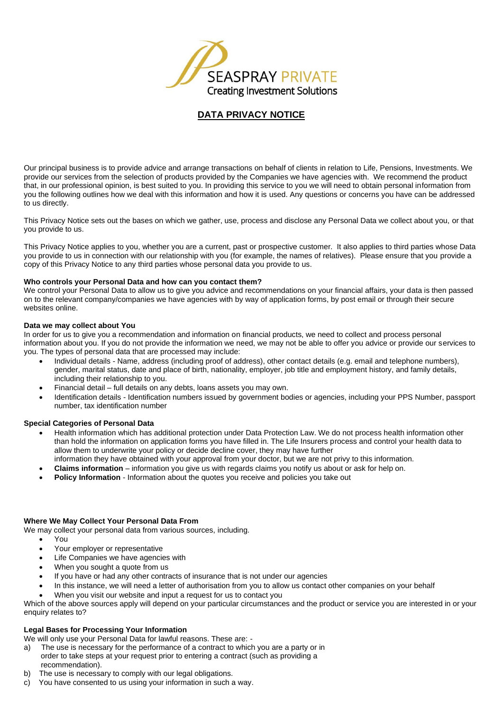

# **DATA PRIVACY NOTICE**

Our principal business is to provide advice and arrange transactions on behalf of clients in relation to Life, Pensions, Investments. We provide our services from the selection of products provided by the Companies we have agencies with. We recommend the product that, in our professional opinion, is best suited to you. In providing this service to you we will need to obtain personal information from you the following outlines how we deal with this information and how it is used. Any questions or concerns you have can be addressed to us directly.

This Privacy Notice sets out the bases on which we gather, use, process and disclose any Personal Data we collect about you, or that you provide to us.

This Privacy Notice applies to you, whether you are a current, past or prospective customer. It also applies to third parties whose Data you provide to us in connection with our relationship with you (for example, the names of relatives). Please ensure that you provide a copy of this Privacy Notice to any third parties whose personal data you provide to us.

#### **Who controls your Personal Data and how can you contact them?**

We control your Personal Data to allow us to give you advice and recommendations on your financial affairs, your data is then passed on to the relevant company/companies we have agencies with by way of application forms, by post email or through their secure websites online.

#### **Data we may collect about You**

In order for us to give you a recommendation and information on financial products, we need to collect and process personal information about you. If you do not provide the information we need, we may not be able to offer you advice or provide our services to you. The types of personal data that are processed may include:

- Individual details Name, address (including proof of address), other contact details (e.g. email and telephone numbers), gender, marital status, date and place of birth, nationality, employer, job title and employment history, and family details, including their relationship to you.
- Financial detail full details on any debts, loans assets you may own.
- Identification details Identification numbers issued by government bodies or agencies, including your PPS Number, passport number, tax identification number

#### **Special Categories of Personal Data**

- Health information which has additional protection under Data Protection Law. We do not process health information other than hold the information on application forms you have filled in. The Life Insurers process and control your health data to allow them to underwrite your policy or decide decline cover, they may have further
- information they have obtained with your approval from your doctor, but we are not privy to this information.
- **Claims information** information you give us with regards claims you notify us about or ask for help on.
- **Policy Information** Information about the quotes you receive and policies you take out

#### **Where We May Collect Your Personal Data From**

- We may collect your personal data from various sources, including.
	- You
	- Your employer or representative
	- Life Companies we have agencies with
	- When you sought a quote from us
	- If you have or had any other contracts of insurance that is not under our agencies
	- In this instance, we will need a letter of authorisation from you to allow us contact other companies on your behalf
	- When you visit our website and input a request for us to contact you

Which of the above sources apply will depend on your particular circumstances and the product or service you are interested in or your enquiry relates to?

#### **Legal Bases for Processing Your Information**

We will only use your Personal Data for lawful reasons. These are: -

- a) The use is necessary for the performance of a contract to which you are a party or in
- order to take steps at your request prior to entering a contract (such as providing a recommendation).
- b) The use is necessary to comply with our legal obligations.
- c) You have consented to us using your information in such a way.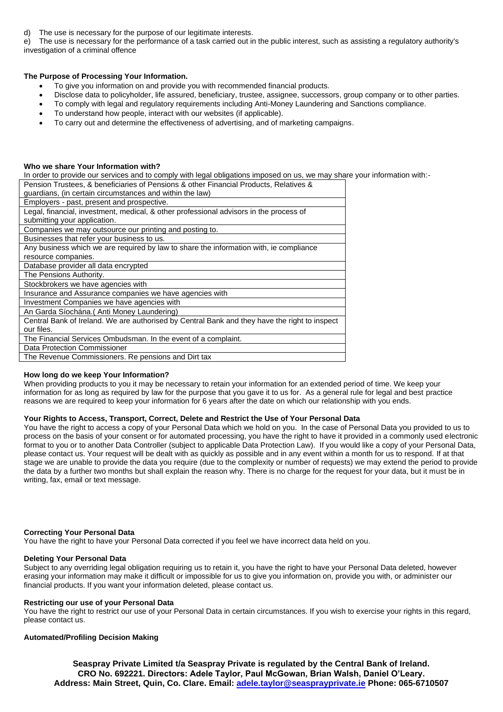d) The use is necessary for the purpose of our legitimate interests.

e) The use is necessary for the performance of a task carried out in the public interest, such as assisting a regulatory authority's investigation of a criminal offence

# **The Purpose of Processing Your Information.**

- To give you information on and provide you with recommended financial products.
- Disclose data to policyholder, life assured, beneficiary, trustee, assignee, successors, group company or to other parties.
- To comply with legal and regulatory requirements including Anti-Money Laundering and Sanctions compliance.
- To understand how people, interact with our websites (if applicable).
- To carry out and determine the effectiveness of advertising, and of marketing campaigns.

## **Who we share Your Information with?**

In order to provide our services and to comply with legal obligations imposed on us, we may share your information with:-

| Pension Trustees, & beneficiaries of Pensions & other Financial Products, Relatives &         |
|-----------------------------------------------------------------------------------------------|
| guardians, (in certain circumstances and within the law)                                      |
| Employers - past, present and prospective.                                                    |
| Legal, financial, investment, medical, & other professional advisors in the process of        |
| submitting your application.                                                                  |
| Companies we may outsource our printing and posting to.                                       |
| Businesses that refer your business to us.                                                    |
| Any business which we are required by law to share the information with, ie compliance        |
| resource companies.                                                                           |
| Database provider all data encrypted                                                          |
| The Pensions Authority.                                                                       |
| Stockbrokers we have agencies with                                                            |
| Insurance and Assurance companies we have agencies with                                       |
| Investment Companies we have agencies with                                                    |
| An Garda Síochána. (Anti Money Laundering)                                                    |
| Central Bank of Ireland. We are authorised by Central Bank and they have the right to inspect |
| our files.                                                                                    |
| The Financial Services Ombudsman. In the event of a complaint.                                |
| Data Protection Commissioner                                                                  |
| The Revenue Commissioners. Re pensions and Dirt tax                                           |

#### **How long do we keep Your Information?**

When providing products to you it may be necessary to retain your information for an extended period of time. We keep your information for as long as required by law for the purpose that you gave it to us for. As a general rule for legal and best practice reasons we are required to keep your information for 6 years after the date on which our relationship with you ends.

#### **Your Rights to Access, Transport, Correct, Delete and Restrict the Use of Your Personal Data**

You have the right to access a copy of your Personal Data which we hold on you. In the case of Personal Data you provided to us to process on the basis of your consent or for automated processing, you have the right to have it provided in a commonly used electronic format to you or to another Data Controller (subject to applicable Data Protection Law). If you would like a copy of your Personal Data, please contact us. Your request will be dealt with as quickly as possible and in any event within a month for us to respond. If at that stage we are unable to provide the data you require (due to the complexity or number of requests) we may extend the period to provide the data by a further two months but shall explain the reason why. There is no charge for the request for your data, but it must be in writing, fax, email or text message.

#### **Correcting Your Personal Data**

You have the right to have your Personal Data corrected if you feel we have incorrect data held on you.

## **Deleting Your Personal Data**

Subject to any overriding legal obligation requiring us to retain it, you have the right to have your Personal Data deleted, however erasing your information may make it difficult or impossible for us to give you information on, provide you with, or administer our financial products. If you want your information deleted, please contact us.

#### **Restricting our use of your Personal Data**

You have the right to restrict our use of your Personal Data in certain circumstances. If you wish to exercise your rights in this regard, please contact us.

#### **Automated/Profiling Decision Making**

**Seaspray Private Limited t/a Seaspray Private is regulated by the Central Bank of Ireland. CRO No. 692221. Directors: Adele Taylor, Paul McGowan, Brian Walsh, Daniel O'Leary. Address: Main Street, Quin, Co. Clare. Email: [adele.taylor@seasprayprivate.ie](mailto:adele.taylor@seasprayprivate.ie) Phone: 065-6710507**